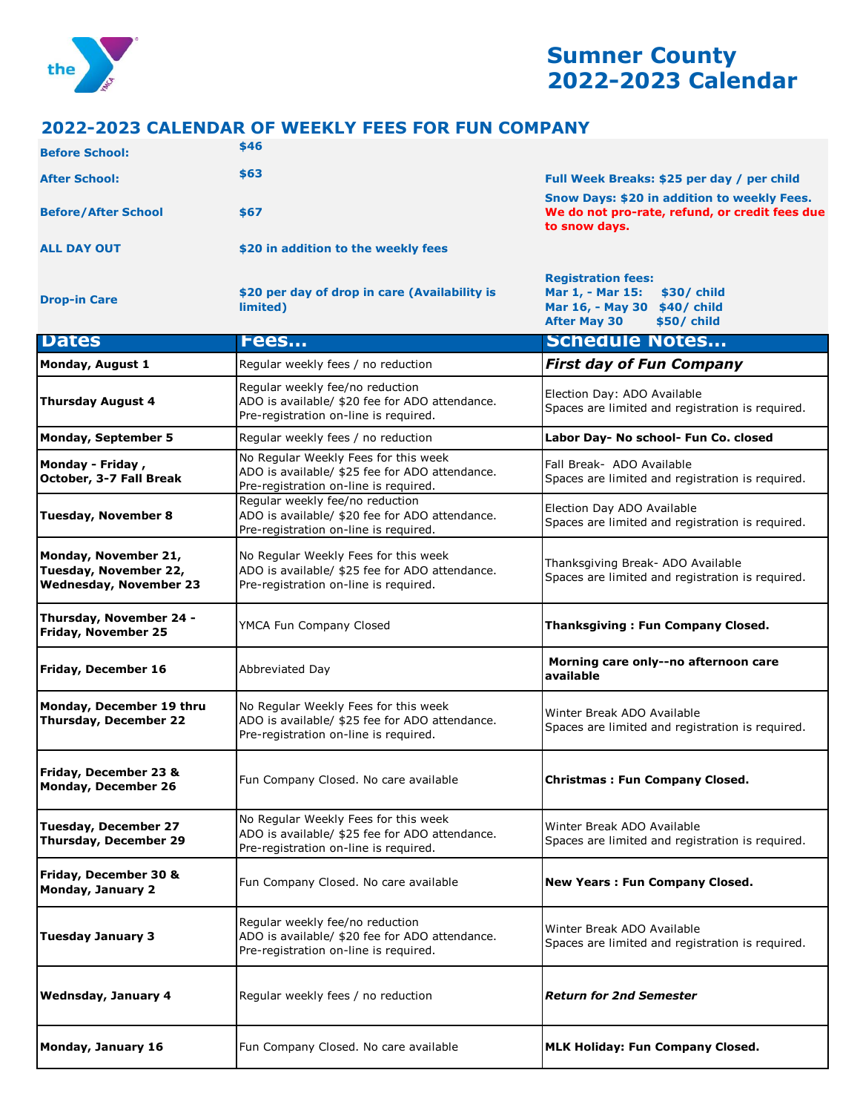

## **Sumner County 2022-2023 Calendar**

## **2022-2023 CALENDAR OF WEEKLY FEES FOR FUN COMPANY**

| <b>Before School:</b>                                                          | \$46                                                                                                                            |                                                                                                                                    |
|--------------------------------------------------------------------------------|---------------------------------------------------------------------------------------------------------------------------------|------------------------------------------------------------------------------------------------------------------------------------|
| <b>After School:</b>                                                           | \$63                                                                                                                            | Full Week Breaks: \$25 per day / per child                                                                                         |
| <b>Before/After School</b>                                                     | \$67                                                                                                                            | Snow Days: \$20 in addition to weekly Fees.<br>We do not pro-rate, refund, or credit fees due<br>to snow days.                     |
| <b>ALL DAY OUT</b>                                                             | \$20 in addition to the weekly fees                                                                                             |                                                                                                                                    |
| <b>Drop-in Care</b>                                                            | \$20 per day of drop in care (Availability is<br>limited)                                                                       | <b>Registration fees:</b><br>Mar 1, - Mar 15:<br>\$30/ child<br>Mar 16, - May 30 \$40/ child<br><b>After May 30</b><br>\$50/ child |
| <b>Dates</b>                                                                   | <b>Fees</b>                                                                                                                     | <b>Schedule Notes</b>                                                                                                              |
| Monday, August 1                                                               | Regular weekly fees / no reduction                                                                                              | <b>First day of Fun Company</b>                                                                                                    |
| <b>Thursday August 4</b>                                                       | Regular weekly fee/no reduction<br>ADO is available/ \$20 fee for ADO attendance.<br>Pre-registration on-line is required.      | Election Day: ADO Available<br>Spaces are limited and registration is required.                                                    |
| <b>Monday, September 5</b>                                                     | Regular weekly fees / no reduction                                                                                              | Labor Day- No school- Fun Co. closed                                                                                               |
| Monday - Friday,<br>October, 3-7 Fall Break                                    | No Regular Weekly Fees for this week<br>ADO is available/ \$25 fee for ADO attendance.<br>Pre-registration on-line is required. | Fall Break- ADO Available<br>Spaces are limited and registration is required.                                                      |
| <b>Tuesday, November 8</b>                                                     | Regular weekly fee/no reduction<br>ADO is available/ \$20 fee for ADO attendance.<br>Pre-registration on-line is required.      | Election Day ADO Available<br>Spaces are limited and registration is required.                                                     |
| Monday, November 21,<br>Tuesday, November 22,<br><b>Wednesday, November 23</b> | No Regular Weekly Fees for this week<br>ADO is available/ \$25 fee for ADO attendance.<br>Pre-registration on-line is required. | Thanksgiving Break- ADO Available<br>Spaces are limited and registration is required.                                              |
| Thursday, November 24 -<br>Friday, November 25                                 | YMCA Fun Company Closed                                                                                                         | <b>Thanksgiving: Fun Company Closed.</b>                                                                                           |
| <b>Friday, December 16</b>                                                     | Abbreviated Day                                                                                                                 | Morning care only--no afternoon care<br>available                                                                                  |
| Monday, December 19 thru<br><b>Thursday, December 22</b>                       | No Regular Weekly Fees for this week<br>ADO is available/ \$25 fee for ADO attendance.<br>Pre-registration on-line is required. | Winter Break ADO Available<br>Spaces are limited and registration is required.                                                     |
| Friday, December 23 &<br>Monday, December 26                                   | Fun Company Closed. No care available                                                                                           | <b>Christmas: Fun Company Closed.</b>                                                                                              |
| <b>Tuesday, December 27</b><br><b>Thursday, December 29</b>                    | No Regular Weekly Fees for this week<br>ADO is available/ \$25 fee for ADO attendance.<br>Pre-registration on-line is required. | Winter Break ADO Available<br>Spaces are limited and registration is required.                                                     |
| Friday, December 30 &<br><b>Monday, January 2</b>                              | Fun Company Closed. No care available                                                                                           | <b>New Years: Fun Company Closed.</b>                                                                                              |
| <b>Tuesday January 3</b>                                                       | Regular weekly fee/no reduction<br>ADO is available/ \$20 fee for ADO attendance.<br>Pre-registration on-line is required.      | Winter Break ADO Available<br>Spaces are limited and registration is required.                                                     |
| <b>Wednsday, January 4</b>                                                     | Regular weekly fees / no reduction                                                                                              | <b>Return for 2nd Semester</b>                                                                                                     |
| Monday, January 16                                                             | Fun Company Closed. No care available                                                                                           | <b>MLK Holiday: Fun Company Closed.</b>                                                                                            |